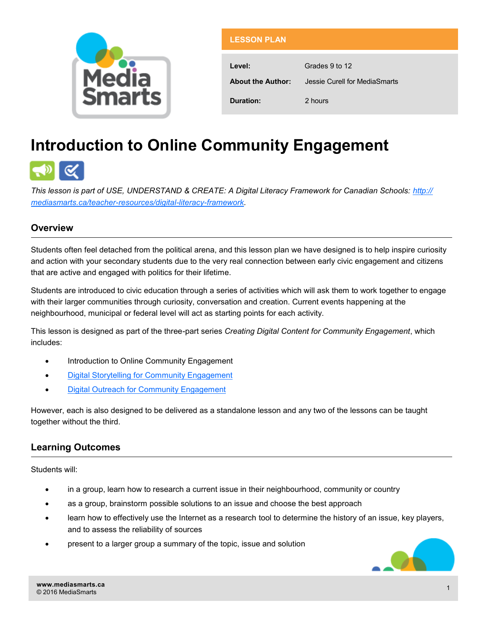

| <b>LESSON PLAN</b>       |                               |
|--------------------------|-------------------------------|
|                          |                               |
| Level:                   | Grades 9 to 12                |
| <b>About the Author:</b> | Jessie Curell for MediaSmarts |
| Duration:                | 2 hours                       |

# **Introduction to Online Community Engagement**



*This lesson is part of USE, UNDERSTAND & CREATE: A Digital Literacy Framework for Canadian Schools: [http://](http://mediasmarts.ca/teacher-resources/digital-literacy-framework) [mediasmarts.ca/teacher](http://mediasmarts.ca/teacher-resources/digital-literacy-framework)-resources/digital-literacy-framework.*

# **Overview**

Students often feel detached from the political arena, and this lesson plan we have designed is to help inspire curiosity and action with your secondary students due to the very real connection between early civic engagement and citizens that are active and engaged with politics for their lifetime.

Students are introduced to civic education through a series of activities which will ask them to work together to engage with their larger communities through curiosity, conversation and creation. Current events happening at the neighbourhood, municipal or federal level will act as starting points for each activity.

This lesson is designed as part of the three-part series *Creating Digital Content for Community Engagement*, which includes:

- Introduction to Online Community Engagement
- [Digital Storytelling for Community Engagement](http://mediasmarts.ca/teacher-resources/digital-storytelling-community-engagement)
- [Digital Outreach for Community Engagement](http://mediasmarts.ca/teacher-resources/digital-outreach-community-engagement)

However, each is also designed to be delivered as a standalone lesson and any two of the lessons can be taught together without the third.

# **Learning Outcomes**

Students will:

- in a group, learn how to research a current issue in their neighbourhood, community or country
- as a group, brainstorm possible solutions to an issue and choose the best approach
- learn how to effectively use the Internet as a research tool to determine the history of an issue, key players, and to assess the reliability of sources
- present to a larger group a summary of the topic, issue and solution

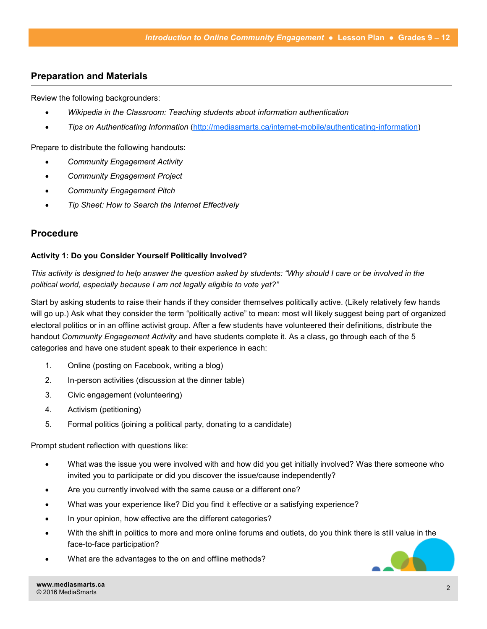## **Preparation and Materials**

Review the following backgrounders:

- *Wikipedia in the Classroom: Teaching students about information authentication*
- *Tips on Authenticating Information* [\(http://mediasmarts.ca/internet](http://mediasmarts.ca/internet-mobile/authenticating-information)-mobile/authenticating-information)

Prepare to distribute the following handouts:

- *Community Engagement Activity*
- *Community Engagement Project*
- *Community Engagement Pitch*
- *Tip Sheet: How to Search the Internet Effectively*

### **Procedure**

### **Activity 1: Do you Consider Yourself Politically Involved?**

*This activity is designed to help answer the question asked by students: "Why should I care or be involved in the political world, especially because I am not legally eligible to vote yet?"*

Start by asking students to raise their hands if they consider themselves politically active. (Likely relatively few hands will go up.) Ask what they consider the term "politically active" to mean: most will likely suggest being part of organized electoral politics or in an offline activist group. After a few students have volunteered their definitions, distribute the handout *Community Engagement Activity* and have students complete it. As a class, go through each of the 5 categories and have one student speak to their experience in each:

- 1. Online (posting on Facebook, writing a blog)
- 2. In-person activities (discussion at the dinner table)
- 3. Civic engagement (volunteering)
- 4. Activism (petitioning)
- 5. Formal politics (joining a political party, donating to a candidate)

Prompt student reflection with questions like:

- What was the issue you were involved with and how did you get initially involved? Was there someone who invited you to participate or did you discover the issue/cause independently?
- Are you currently involved with the same cause or a different one?
- What was your experience like? Did you find it effective or a satisfying experience?
- In your opinion, how effective are the different categories?
- With the shift in politics to more and more online forums and outlets, do you think there is still value in the face-to-face participation?
- What are the advantages to the on and offline methods?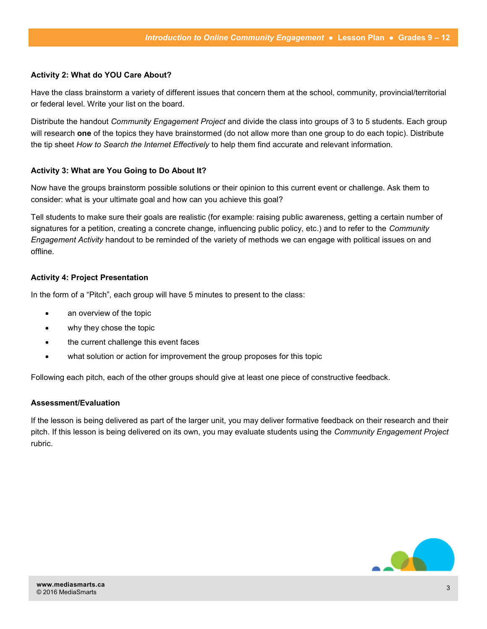### **Activity 2: What do YOU Care About?**

Have the class brainstorm a variety of different issues that concern them at the school, community, provincial/territorial or federal level. Write your list on the board.

Distribute the handout *Community Engagement Project* and divide the class into groups of 3 to 5 students. Each group will research **one** of the topics they have brainstormed (do not allow more than one group to do each topic). Distribute the tip sheet *How to Search the Internet Effectively* to help them find accurate and relevant information.

### **Activity 3: What are You Going to Do About It?**

Now have the groups brainstorm possible solutions or their opinion to this current event or challenge. Ask them to consider: what is your ultimate goal and how can you achieve this goal?

Tell students to make sure their goals are realistic (for example: raising public awareness, getting a certain number of signatures for a petition, creating a concrete change, influencing public policy, etc.) and to refer to the *Community Engagement Activity* handout to be reminded of the variety of methods we can engage with political issues on and offline.

### **Activity 4: Project Presentation**

In the form of a "Pitch", each group will have 5 minutes to present to the class:

- an overview of the topic
- why they chose the topic
- the current challenge this event faces
- what solution or action for improvement the group proposes for this topic

Following each pitch, each of the other groups should give at least one piece of constructive feedback.

### **Assessment/Evaluation**

If the lesson is being delivered as part of the larger unit, you may deliver formative feedback on their research and their pitch. If this lesson is being delivered on its own, you may evaluate students using the *Community Engagement Project*  rubric.

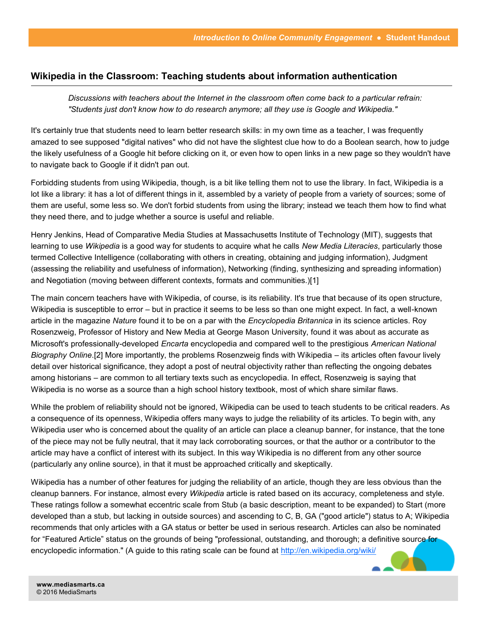# **Wikipedia in the Classroom: Teaching students about information authentication**

*Discussions with teachers about the Internet in the classroom often come back to a particular refrain: "Students just don't know how to do research anymore; all they use is Google and Wikipedia."*

It's certainly true that students need to learn better research skills: in my own time as a teacher, I was frequently amazed to see supposed "digital natives" who did not have the slightest clue how to do a Boolean search, how to judge the likely usefulness of a Google hit before clicking on it, or even how to open links in a new page so they wouldn't have to navigate back to Google if it didn't pan out.

Forbidding students from using Wikipedia, though, is a bit like telling them not to use the library. In fact, Wikipedia is a lot like a library: it has a lot of different things in it, assembled by a variety of people from a variety of sources; some of them are useful, some less so. We don't forbid students from using the library; instead we teach them how to find what they need there, and to judge whether a source is useful and reliable.

Henry Jenkins, Head of Comparative Media Studies at Massachusetts Institute of Technology (MIT), suggests that learning to use *Wikipedia* is a good way for students to acquire what he calls *New Media Literacies*, particularly those termed Collective Intelligence (collaborating with others in creating, obtaining and judging information), Judgment (assessing the reliability and usefulness of information), Networking (finding, synthesizing and spreading information) and Negotiation (moving between different contexts, formats and communities.)[1]

The main concern teachers have with Wikipedia, of course, is its reliability. It's true that because of its open structure, Wikipedia is susceptible to error – but in practice it seems to be less so than one might expect. In fact, a well-known article in the magazine *Nature* found it to be on a par with the *Encyclopedia Britannica* in its science articles. Roy Rosenzweig, Professor of History and New Media at George Mason University, found it was about as accurate as Microsoft's professionally-developed *Encarta* encyclopedia and compared well to the prestigious *American National Biography Online*.[2] More importantly, the problems Rosenzweig finds with Wikipedia – its articles often favour lively detail over historical significance, they adopt a post of neutral objectivity rather than reflecting the ongoing debates among historians – are common to all tertiary texts such as encyclopedia. In effect, Rosenzweig is saying that Wikipedia is no worse as a source than a high school history textbook, most of which share similar flaws.

While the problem of reliability should not be ignored, Wikipedia can be used to teach students to be critical readers. As a consequence of its openness, Wikipedia offers many ways to judge the reliability of its articles. To begin with, any Wikipedia user who is concerned about the quality of an article can place a cleanup banner, for instance, that the tone of the piece may not be fully neutral, that it may lack corroborating sources, or that the author or a contributor to the article may have a conflict of interest with its subject. In this way Wikipedia is no different from any other source (particularly any online source), in that it must be approached critically and skeptically.

Wikipedia has a number of other features for judging the reliability of an article, though they are less obvious than the cleanup banners. For instance, almost every *Wikipedia* article is rated based on its accuracy, completeness and style. These ratings follow a somewhat eccentric scale from Stub (a basic description, meant to be expanded) to Start (more developed than a stub, but lacking in outside sources) and ascending to C, B, GA ("good article") status to A; Wikipedia recommends that only articles with a GA status or better be used in serious research. Articles can also be nominated for "Featured Article" status on the grounds of being "professional, outstanding, and thorough; a definitive source for encyclopedic information." (A guide to this rating scale can be found at [http://en.wikipedia.org/wiki/](http://en.wikipedia.org/wiki/Wikipedia:Version_1.0_Editorial_Team)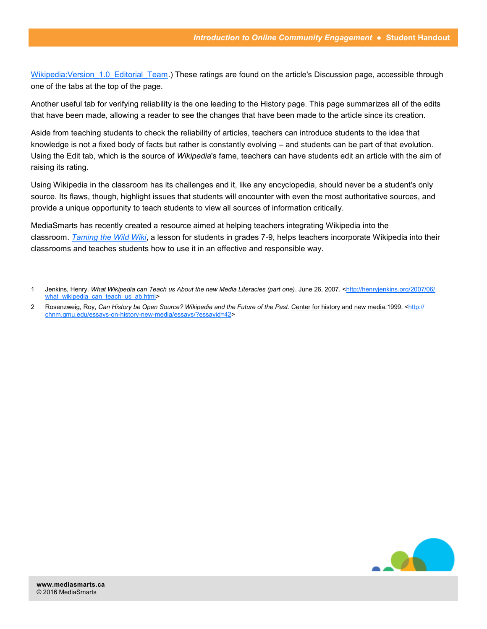[Wikipedia:Version\\_1.0\\_Editorial\\_Team.](http://en.wikipedia.org/wiki/Wikipedia:Version_1.0_Editorial_Team)) These ratings are found on the article's Discussion page, accessible through one of the tabs at the top of the page.

Another useful tab for verifying reliability is the one leading to the History page. This page summarizes all of the edits that have been made, allowing a reader to see the changes that have been made to the article since its creation.

Aside from teaching students to check the reliability of articles, teachers can introduce students to the idea that knowledge is not a fixed body of facts but rather is constantly evolving – and students can be part of that evolution. Using the Edit tab, which is the source of *Wikipedia*'s fame, teachers can have students edit an article with the aim of raising its rating.

Using Wikipedia in the classroom has its challenges and it, like any encyclopedia, should never be a student's only source. Its flaws, though, highlight issues that students will encounter with even the most authoritative sources, and provide a unique opportunity to teach students to view all sources of information critically.

MediaSmarts has recently created a resource aimed at helping teachers integrating Wikipedia into the classroom. *[Taming the Wild Wiki](http://mediasmarts.ca/lessonplan/taming-wild-wiki-lesson)*, a lesson for students in grades 7-9, helps teachers incorporate Wikipedia into their classrooms and teaches students how to use it in an effective and responsible way.

- 1 Jenkins, Henry. *What Wikipedia can Teach us About the new Media Literacies (part one)*. June 26, 2007. [<http://henryjenkins.org/2007/06/](http://henryjenkins.org/2007/06/what_wikipedia_can_teach_us_ab.html) what wikipedia can teach us ab.html>
- 2 Rosenzweig, Roy, *Can History be Open Source? Wikipedia and the Future of the Past.* Center for history and new media.1999. <[http://](http://chnm.gmu.edu/essays-on-history-new-media/essays/?essayid=42) chnm.gmu.edu/essays-on-history-new-[media/essays/?essayid=42>](http://chnm.gmu.edu/essays-on-history-new-media/essays/?essayid=42)

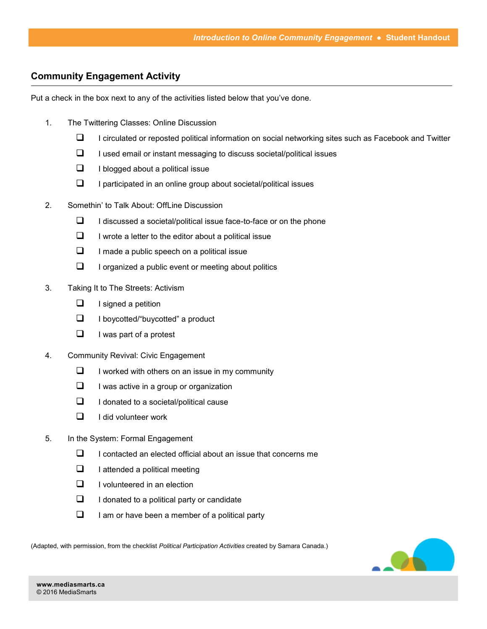# **Community Engagement Activity**

Put a check in the box next to any of the activities listed below that you've done.

- 1. The Twittering Classes: Online Discussion
	- $\Box$  I circulated or reposted political information on social networking sites such as Facebook and Twitter
	- $\Box$  I used email or instant messaging to discuss societal/political issues
	- $\Box$  I blogged about a political issue
	- $\Box$  I participated in an online group about societal/political issues
- 2. Somethin' to Talk About: OffLine Discussion
	- $\Box$  I discussed a societal/political issue face-to-face or on the phone
	- $\Box$  I wrote a letter to the editor about a political issue
	- $\Box$  I made a public speech on a political issue
	- $\Box$  I organized a public event or meeting about politics
- 3. Taking It to The Streets: Activism
	- $\Box$  I signed a petition
	- $\Box$  I boycotted/"buycotted" a product
	- $\Box$  I was part of a protest
- 4. Community Revival: Civic Engagement
	- $\Box$  I worked with others on an issue in my community
	- $\Box$  I was active in a group or organization
	- $\Box$  I donated to a societal/political cause
	- $\Box$  I did volunteer work
- 5. In the System: Formal Engagement
	- $\Box$  I contacted an elected official about an issue that concerns me
	- $\Box$  I attended a political meeting
	- $\Box$  I volunteered in an election
	- $\Box$  I donated to a political party or candidate
	- $\Box$  I am or have been a member of a political party

(Adapted, with permission, from the checklist *Political Participation Activities* created by Samara Canada.)

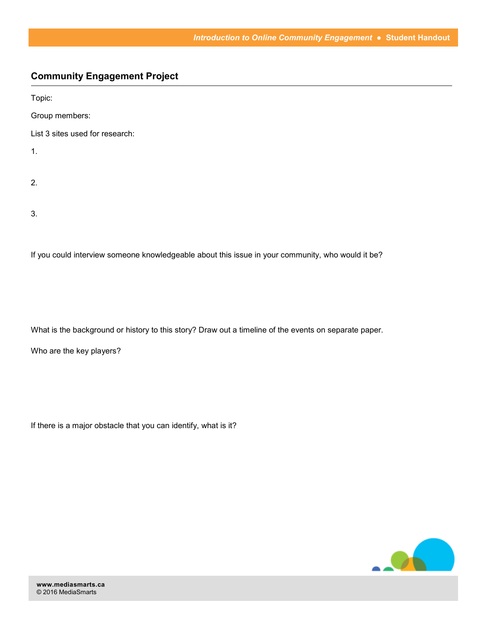# **Community Engagement Project**

Topic:

Group members:

List 3 sites used for research:

1.

2.

3.

If you could interview someone knowledgeable about this issue in your community, who would it be?

What is the background or history to this story? Draw out a timeline of the events on separate paper.

Who are the key players?

If there is a major obstacle that you can identify, what is it?

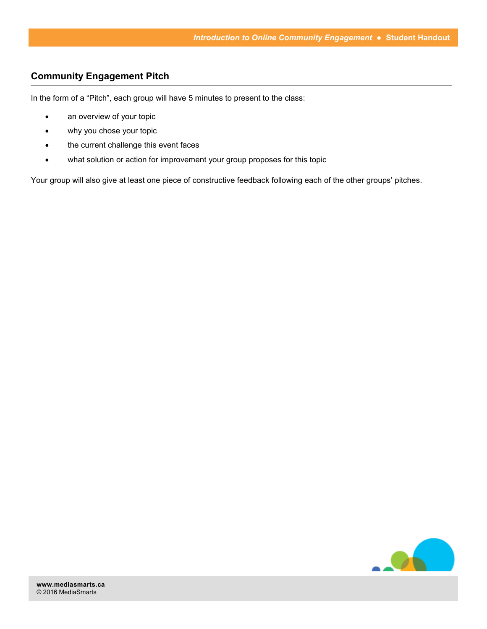# **Community Engagement Pitch**

In the form of a "Pitch", each group will have 5 minutes to present to the class:

- an overview of your topic
- why you chose your topic
- the current challenge this event faces
- what solution or action for improvement your group proposes for this topic

Your group will also give at least one piece of constructive feedback following each of the other groups' pitches.

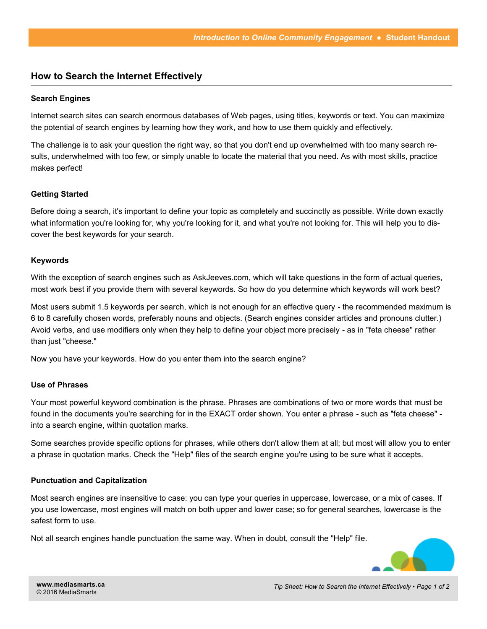# **How to Search the Internet Effectively**

### **Search Engines**

Internet search sites can search enormous databases of Web pages, using titles, keywords or text. You can maximize the potential of search engines by learning how they work, and how to use them quickly and effectively.

The challenge is to ask your question the right way, so that you don't end up overwhelmed with too many search results, underwhelmed with too few, or simply unable to locate the material that you need. As with most skills, practice makes perfect!

### **Getting Started**

Before doing a search, it's important to define your topic as completely and succinctly as possible. Write down exactly what information you're looking for, why you're looking for it, and what you're not looking for. This will help you to discover the best keywords for your search.

### **Keywords**

With the exception of search engines such as AskJeeves.com, which will take questions in the form of actual queries, most work best if you provide them with several keywords. So how do you determine which keywords will work best?

Most users submit 1.5 keywords per search, which is not enough for an effective query - the recommended maximum is 6 to 8 carefully chosen words, preferably nouns and objects. (Search engines consider articles and pronouns clutter.) Avoid verbs, and use modifiers only when they help to define your object more precisely - as in "feta cheese" rather than just "cheese."

Now you have your keywords. How do you enter them into the search engine?

### **Use of Phrases**

Your most powerful keyword combination is the phrase. Phrases are combinations of two or more words that must be found in the documents you're searching for in the EXACT order shown. You enter a phrase - such as "feta cheese" into a search engine, within quotation marks.

Some searches provide specific options for phrases, while others don't allow them at all; but most will allow you to enter a phrase in quotation marks. Check the "Help" files of the search engine you're using to be sure what it accepts.

### **Punctuation and Capitalization**

Most search engines are insensitive to case: you can type your queries in uppercase, lowercase, or a mix of cases. If you use lowercase, most engines will match on both upper and lower case; so for general searches, lowercase is the safest form to use.

Not all search engines handle punctuation the same way. When in doubt, consult the "Help" file.

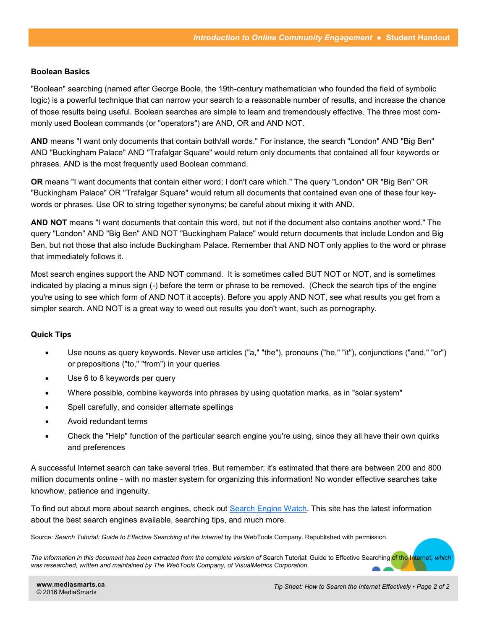### **Boolean Basics**

"Boolean" searching (named after George Boole, the 19th-century mathematician who founded the field of symbolic logic) is a powerful technique that can narrow your search to a reasonable number of results, and increase the chance of those results being useful. Boolean searches are simple to learn and tremendously effective. The three most commonly used Boolean commands (or "operators") are AND, OR and AND NOT.

**AND** means "I want only documents that contain both/all words." For instance, the search "London" AND "Big Ben" AND "Buckingham Palace" AND "Trafalgar Square" would return only documents that contained all four keywords or phrases. AND is the most frequently used Boolean command.

**OR** means "I want documents that contain either word; I don't care which." The query "London" OR "Big Ben" OR "Buckingham Palace" OR "Trafalgar Square" would return all documents that contained even one of these four keywords or phrases. Use OR to string together synonyms; be careful about mixing it with AND.

**AND NOT** means "I want documents that contain this word, but not if the document also contains another word." The query "London" AND "Big Ben" AND NOT "Buckingham Palace" would return documents that include London and Big Ben, but not those that also include Buckingham Palace. Remember that AND NOT only applies to the word or phrase that immediately follows it.

Most search engines support the AND NOT command. It is sometimes called BUT NOT or NOT, and is sometimes indicated by placing a minus sign (-) before the term or phrase to be removed. (Check the search tips of the engine you're using to see which form of AND NOT it accepts). Before you apply AND NOT, see what results you get from a simpler search. AND NOT is a great way to weed out results you don't want, such as pornography.

### **Quick Tips**

- Use nouns as query keywords. Never use articles ("a," "the"), pronouns ("he," "it"), conjunctions ("and," "or") or prepositions ("to," "from") in your queries
- Use 6 to 8 keywords per query
- Where possible, combine keywords into phrases by using quotation marks, as in "solar system"
- Spell carefully, and consider alternate spellings
- Avoid redundant terms
- Check the "Help" function of the particular search engine you're using, since they all have their own quirks and preferences

A successful Internet search can take several tries. But remember: it's estimated that there are between 200 and 800 million documents online - with no master system for organizing this information! No wonder effective searches take knowhow, patience and ingenuity.

To find out about more about search engines, check out [Search Engine Watch.](http://searchenginewatch.com/) This site has the latest information about the best search engines available, searching tips, and much more.

Source: Search Tutorial: Guide to Effective Searching of the Internet by the WebTools Company. Republished with permission.

The information in this document has been extracted from the complete version of Search Tutorial: Guide to Effective Searching of the Internet, which *was researched, written and maintained by The WebTools Company, of VisualMetrics Corporation.*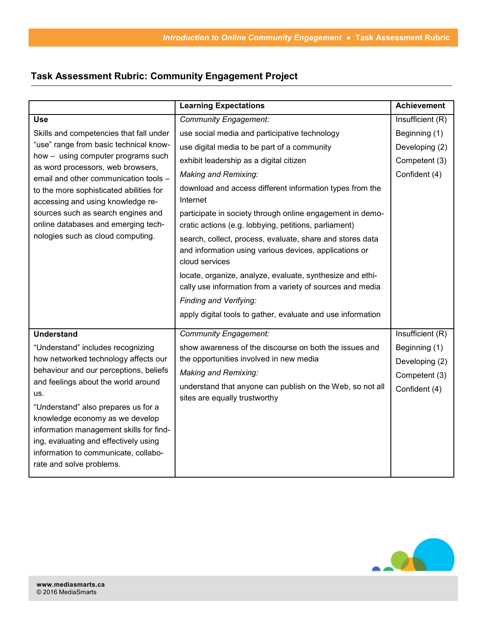# **Task Assessment Rubric: Community Engagement Project**

|                                                                                                                                                                                                                                                                                                                                                                                                         | <b>Learning Expectations</b>                                                                                                          | <b>Achievement</b> |
|---------------------------------------------------------------------------------------------------------------------------------------------------------------------------------------------------------------------------------------------------------------------------------------------------------------------------------------------------------------------------------------------------------|---------------------------------------------------------------------------------------------------------------------------------------|--------------------|
| <b>Use</b>                                                                                                                                                                                                                                                                                                                                                                                              | <b>Community Engagement:</b>                                                                                                          | Insufficient (R)   |
| Skills and competencies that fall under<br>"use" range from basic technical know-<br>how - using computer programs such<br>as word processors, web browsers,<br>email and other communication tools -<br>to the more sophisticated abilities for<br>accessing and using knowledge re-<br>sources such as search engines and<br>online databases and emerging tech-<br>nologies such as cloud computing. | use social media and participative technology                                                                                         | Beginning (1)      |
|                                                                                                                                                                                                                                                                                                                                                                                                         | use digital media to be part of a community                                                                                           | Developing (2)     |
|                                                                                                                                                                                                                                                                                                                                                                                                         | exhibit leadership as a digital citizen                                                                                               | Competent (3)      |
|                                                                                                                                                                                                                                                                                                                                                                                                         | <b>Making and Remixing:</b>                                                                                                           | Confident (4)      |
|                                                                                                                                                                                                                                                                                                                                                                                                         | download and access different information types from the<br>Internet                                                                  |                    |
|                                                                                                                                                                                                                                                                                                                                                                                                         | participate in society through online engagement in demo-<br>cratic actions (e.g. lobbying, petitions, parliament)                    |                    |
|                                                                                                                                                                                                                                                                                                                                                                                                         | search, collect, process, evaluate, share and stores data<br>and information using various devices, applications or<br>cloud services |                    |
|                                                                                                                                                                                                                                                                                                                                                                                                         | locate, organize, analyze, evaluate, synthesize and ethi-<br>cally use information from a variety of sources and media                |                    |
|                                                                                                                                                                                                                                                                                                                                                                                                         | Finding and Verifying:                                                                                                                |                    |
|                                                                                                                                                                                                                                                                                                                                                                                                         | apply digital tools to gather, evaluate and use information                                                                           |                    |
| <b>Understand</b>                                                                                                                                                                                                                                                                                                                                                                                       | <b>Community Engagement:</b>                                                                                                          | Insufficient (R)   |
| "Understand" includes recognizing<br>how networked technology affects our<br>behaviour and our perceptions, beliefs<br>and feelings about the world around<br>us.<br>"Understand" also prepares us for a<br>knowledge economy as we develop<br>information management skills for find-<br>ing, evaluating and effectively using                                                                         | show awareness of the discourse on both the issues and                                                                                | Beginning (1)      |
|                                                                                                                                                                                                                                                                                                                                                                                                         | the opportunities involved in new media                                                                                               | Developing (2)     |
|                                                                                                                                                                                                                                                                                                                                                                                                         | Making and Remixing:                                                                                                                  | Competent (3)      |
|                                                                                                                                                                                                                                                                                                                                                                                                         | understand that anyone can publish on the Web, so not all<br>sites are equally trustworthy                                            | Confident (4)      |
|                                                                                                                                                                                                                                                                                                                                                                                                         |                                                                                                                                       |                    |
| information to communicate, collabo-<br>rate and solve problems.                                                                                                                                                                                                                                                                                                                                        |                                                                                                                                       |                    |